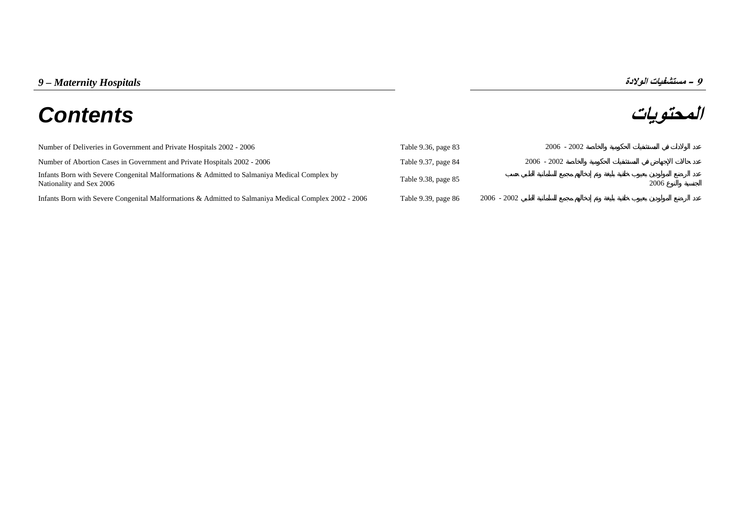# **المحتويات** *Contents*

و - مستشفيات الولادة<br>**المحتويات** 

| Number of Deliveries in Government and Private Hospitals 2002 - 2006                                                     | Table 9.36, page 83 | $2006 - 2002$ |      |
|--------------------------------------------------------------------------------------------------------------------------|---------------------|---------------|------|
| Number of Abortion Cases in Government and Private Hospitals 2002 - 2006                                                 | Table 9.37, page 84 | $2006 - 2002$ |      |
| Infants Born with Severe Congenital Malformations & Admitted to Salmaniya Medical Complex by<br>Nationality and Sex 2006 | Table 9.38, page 85 |               | 2006 |
| Infants Born with Severe Congenital Malformations & Admitted to Salmaniya Medical Complex 2002 - 2006                    | Table 9.39, page 86 | $2006 - 2002$ |      |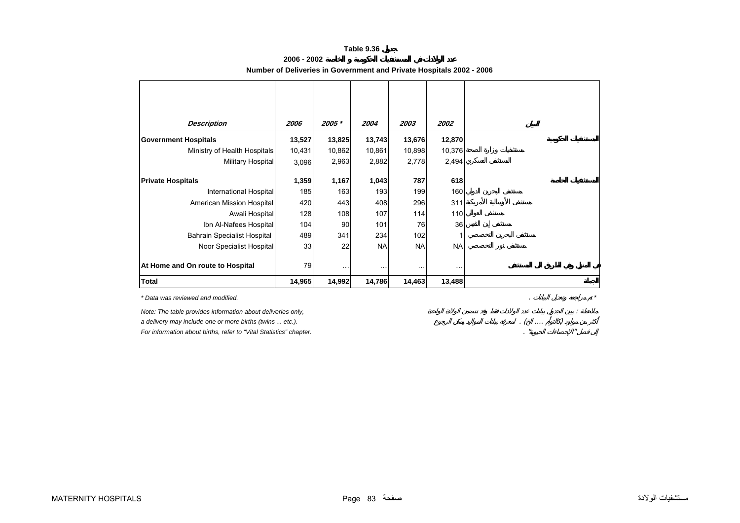#### **Table 9.36**

| 2006 - 2002                                                          |  |
|----------------------------------------------------------------------|--|
| Number of Deliveries in Government and Private Hospitals 2002 - 2006 |  |

<span id="page-1-0"></span>

| <b>Description</b>                 | 2006   | 2005 *   | 2004      | 2003                 | 2002      |
|------------------------------------|--------|----------|-----------|----------------------|-----------|
| <b>Government Hospitals</b>        | 13,527 | 13,825   | 13,743    | 13,676               | 12,870    |
| Ministry of Health Hospitals       | 10,431 | 10,862   | 10,861    | 10,898               | 10,376    |
| Military Hospital                  | 3,096  | 2,963    | 2,882     | 2,778                | 2,494     |
| <b>Private Hospitals</b>           | 1,359  | 1,167    | 1,043     | 787                  | 618       |
| International Hospital             | 185    | 163      | 193       | 199                  | 160       |
| American Mission Hospital          | 420    | 443      | 408       | 296                  | 311       |
| Awali Hospital                     | 128    | 108      | 107       | 114                  | 110       |
| Ibn Al-Nafees Hospital             | 104    | 90       | 101       | 76                   | 36        |
| <b>Bahrain Specialist Hospital</b> | 489    | 341      | 234       | 102                  |           |
| Noor Specialist Hospital           | 33     | 22       | <b>NA</b> | <b>NA</b>            | <b>NA</b> |
| At Home and On route to Hospital   | 79     | $\cdots$ | $\ddotsc$ | $\sim$ $\sim$ $\sim$ | $\cdots$  |
| Total                              | 14,965 | 14,992   | 14,786    | 14,463               | 13,488    |

*\* Data was reviewed and modified.*

*a delivery may include one or more births (twins ... etc.).* 

*For information about births, refer to "Vital Statistics" chapter.* 

*Note: The table provides information about deliveries only,*<br>a delivery may include one or more births (twins ... etc.).<br>For information about births, refer to "Vital Statistics" chapter.

. *\**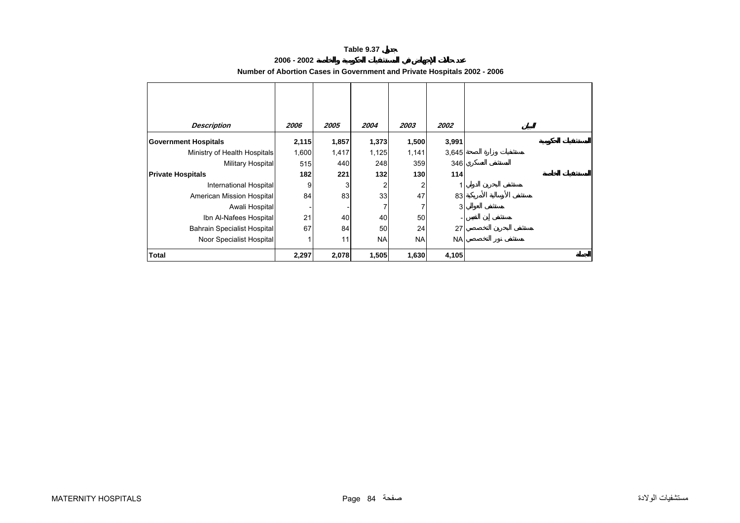#### **Table 9.37**

#### **2006 - 2002**

<span id="page-2-0"></span>

| <b>Description</b>                 | 2006  | 2005  | 2004      | 2003      | <i><b>2002</b></i> |
|------------------------------------|-------|-------|-----------|-----------|--------------------|
| <b>Government Hospitals</b>        | 2,115 | 1,857 | 1,373     | 1,500     | 3,991              |
| Ministry of Health Hospitals       | 1,600 | 1,417 | 1,125     | 1,141     | 3,645              |
| Military Hospital                  | 515   | 440   | 248       | 359       | 346                |
| <b>Private Hospitals</b>           | 182   | 221   | 132       | 130       | 114                |
| <b>International Hospital</b>      | 9     | 3     | 2         | 2         |                    |
| American Mission Hospital          | 84    | 83    | 33        | 47        | 83                 |
| Awali Hospital                     |       |       | 7         |           | 3                  |
| Ibn Al-Nafees Hospital             | 21    | 40    | 40        | 50        |                    |
| <b>Bahrain Specialist Hospital</b> | 67    | 84    | 50        | 24        | 27                 |
| Noor Specialist Hospital           |       | 11    | <b>NA</b> | <b>NA</b> | <b>NA</b>          |
| Total                              | 2,297 | 2,078 | 1,505     | 1,630     | 4,105              |

#### **Number of Abortion Cases in Government and Private Hospitals 2002 - 2006**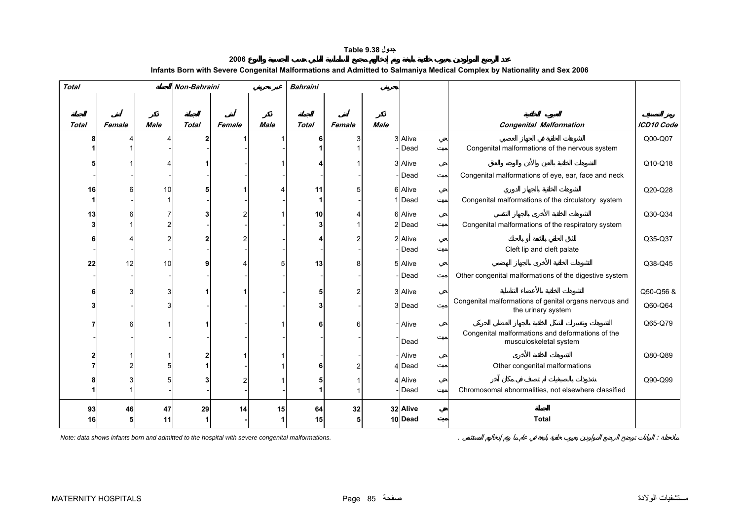## **جدول 9.38 Table**

| 2006                                                                                                                    |  |
|-------------------------------------------------------------------------------------------------------------------------|--|
| Infants Born with Severe Congenital Malformations and Admitted to Salmaniya Medical Complex by Nationality and Sex 2006 |  |

<span id="page-3-0"></span>

| <b>Total</b> |        |             | Non-Bahraini |        |             | <b>Bahraini</b> |        |             |          |                                                                              |            |
|--------------|--------|-------------|--------------|--------|-------------|-----------------|--------|-------------|----------|------------------------------------------------------------------------------|------------|
|              |        |             |              |        |             |                 |        |             |          |                                                                              |            |
|              |        |             |              |        |             |                 |        |             |          |                                                                              |            |
| <b>Total</b> | Female | <b>Male</b> | <b>Total</b> | Female | <b>Male</b> | <b>Total</b>    | Female | <b>Male</b> |          | <b>Congenital Malformation</b>                                               | ICD10 Code |
|              |        |             |              |        |             | 6               | 3      |             | 3 Alive  |                                                                              | Q00-Q07    |
|              |        |             |              |        |             |                 |        |             | -Dead    | Congenital malformations of the nervous system                               |            |
|              |        |             |              |        |             |                 |        |             | 3 Alive  |                                                                              | Q10-Q18    |
|              |        |             |              |        |             |                 |        |             | - Dead   | Congenital malformations of eye, ear, face and neck                          |            |
| 16           |        | 10          |              |        |             | 11              | 5      |             | 6 Alive  |                                                                              | Q20-Q28    |
|              |        |             |              |        |             |                 |        |             | 1 Dead   | Congenital malformations of the circulatory system                           |            |
| 13           |        |             |              |        |             | 10              | 4      |             | 6 Alive  |                                                                              | Q30-Q34    |
|              |        |             |              |        |             | 3               |        |             | 2 Dead   | Congenital malformations of the respiratory system                           |            |
|              |        |             |              |        |             |                 |        |             | 2 Alive  |                                                                              | Q35-Q37    |
|              |        |             |              |        |             |                 |        |             | - Dead   | Cleft lip and cleft palate                                                   |            |
| 22           | 12     | 10          |              |        |             | 13              | 8      |             | 5 Alive  |                                                                              | Q38-Q45    |
|              |        |             |              |        |             |                 |        |             | -Dead    | Other congenital malformations of the digestive system                       |            |
|              |        | 3           |              |        |             | 5               |        |             | 3 Alive  |                                                                              | Q50-Q56 &  |
|              |        |             |              |        |             | 3               |        |             | 3 Dead   | Congenital malformations of genital organs nervous and<br>the urinary system | Q60-Q64    |
|              |        |             |              |        |             | 6               | 6      |             | - Alive  |                                                                              | Q65-Q79    |
|              |        |             |              |        |             |                 |        |             | Dead     | Congenital malformations and deformations of the<br>musculoskeletal system   |            |
|              |        |             |              |        |             |                 |        |             | - Alive  |                                                                              | Q80-Q89    |
|              |        |             |              |        |             | 6               | 2      |             | 4 Dead   | Other congenital malformations                                               |            |
|              |        |             |              |        |             |                 |        |             | 4 Alive  |                                                                              | Q90-Q99    |
|              |        |             |              |        |             |                 |        |             | - Dead   | Chromosomal abnormalities, not elsewhere classified                          |            |
| 93           | 46     | 47          | 29           | 14     | 15          | 64              | 32     |             | 32 Alive |                                                                              |            |
| 16           |        | 11          |              |        |             | 15              | 5      |             | 10 Dead  | <b>Total</b>                                                                 |            |

*Note: data shows infants born and admitted to the hospital with severe congenital malformations.* . :